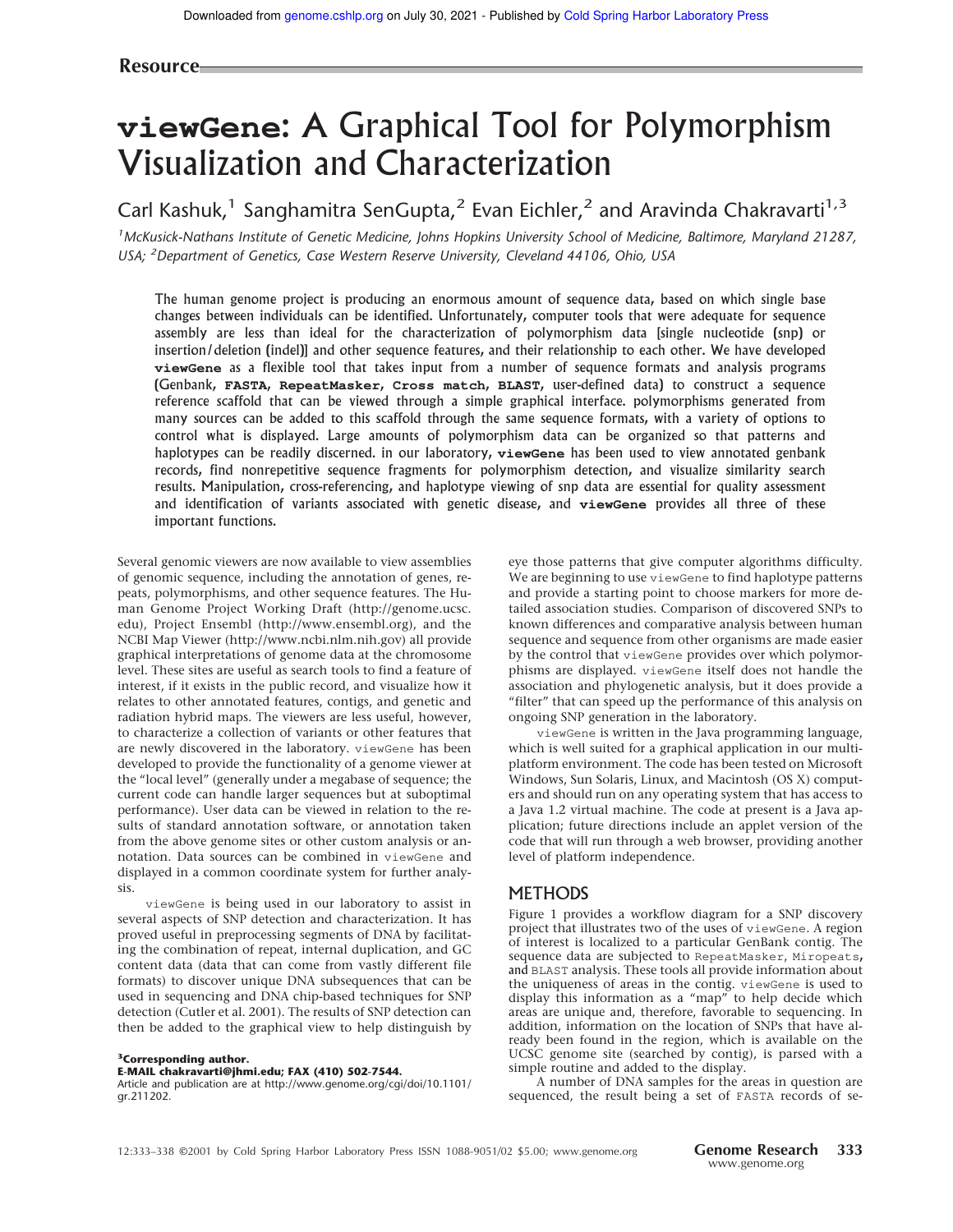# **viewGene**: A Graphical Tool for Polymorphism Visualization and Characterization

Carl Kashuk,<sup>1</sup> Sanghamitra SenGupta,<sup>2</sup> Evan Eichler,<sup>2</sup> and Aravinda Chakravarti<sup>1,3</sup>

*<sup>1</sup>McKusick-Nathans Institute of Genetic Medicine, Johns Hopkins University School of Medicine, Baltimore, Maryland 21287, USA; <sup>2</sup>Department of Genetics, Case Western Reserve University, Cleveland 44106, Ohio, USA*

The human genome project is producing an enormous amount of sequence data, based on which single base changes between individuals can be identified. Unfortunately, computer tools that were adequate for sequence assembly are less than ideal for the characterization of polymorphism data [single nucleotide (snp) or insertion/deletion (indel)] and other sequence features, and their relationship to each other. We have developed **viewGene** as a flexible tool that takes input from a number of sequence formats and analysis programs (Genbank, **FASTA**, **RepeatMasker**, **Cross match**, **BLAST**, user-defined data) to construct a sequence reference scaffold that can be viewed through a simple graphical interface. polymorphisms generated from many sources can be added to this scaffold through the same sequence formats, with a variety of options to control what is displayed. Large amounts of polymorphism data can be organized so that patterns and haplotypes can be readily discerned. in our laboratory, **viewGene** has been used to view annotated genbank records, find nonrepetitive sequence fragments for polymorphism detection, and visualize similarity search results. Manipulation, cross-referencing, and haplotype viewing of snp data are essential for quality assessment and identification of variants associated with genetic disease, and **viewGene** provides all three of these important functions.

Several genomic viewers are now available to view assemblies of genomic sequence, including the annotation of genes, repeats, polymorphisms, and other sequence features. The Human Genome Project Working Draft (http://genome.ucsc. edu), Project Ensembl (http://www.ensembl.org), and the NCBI Map Viewer (http://www.ncbi.nlm.nih.gov) all provide graphical interpretations of genome data at the chromosome level. These sites are useful as search tools to find a feature of interest, if it exists in the public record, and visualize how it relates to other annotated features, contigs, and genetic and radiation hybrid maps. The viewers are less useful, however, to characterize a collection of variants or other features that are newly discovered in the laboratory. viewGene has been developed to provide the functionality of a genome viewer at the "local level" (generally under a megabase of sequence; the current code can handle larger sequences but at suboptimal performance). User data can be viewed in relation to the results of standard annotation software, or annotation taken from the above genome sites or other custom analysis or annotation. Data sources can be combined in viewGene and displayed in a common coordinate system for further analysis.

viewGene is being used in our laboratory to assist in several aspects of SNP detection and characterization. It has proved useful in preprocessing segments of DNA by facilitating the combination of repeat, internal duplication, and GC content data (data that can come from vastly different file formats) to discover unique DNA subsequences that can be used in sequencing and DNA chip-based techniques for SNP detection (Cutler et al. 2001). The results of SNP detection can then be added to the graphical view to help distinguish by

#### **<sup>3</sup>Corresponding author.**

**E-MAIL chakravarti@jhmi.edu; FAX (410) 502-7544.**

Article and publication are at http://www.genome.org/cgi/doi/10.1101/ gr.211202.

eye those patterns that give computer algorithms difficulty. We are beginning to use viewGene to find haplotype patterns and provide a starting point to choose markers for more detailed association studies. Comparison of discovered SNPs to known differences and comparative analysis between human sequence and sequence from other organisms are made easier by the control that viewGene provides over which polymorphisms are displayed. viewGene itself does not handle the association and phylogenetic analysis, but it does provide a "filter" that can speed up the performance of this analysis on ongoing SNP generation in the laboratory.

viewGene is written in the Java programming language, which is well suited for a graphical application in our multiplatform environment. The code has been tested on Microsoft Windows, Sun Solaris, Linux, and Macintosh (OS X) computers and should run on any operating system that has access to a Java 1.2 virtual machine. The code at present is a Java application; future directions include an applet version of the code that will run through a web browser, providing another level of platform independence.

#### **METHODS**

Figure 1 provides a workflow diagram for a SNP discovery project that illustrates two of the uses of viewGene. A region of interest is localized to a particular GenBank contig. The sequence data are subjected to RepeatMasker, Miropeats, and BLAST analysis. These tools all provide information about the uniqueness of areas in the contig. viewGene is used to display this information as a "map" to help decide which areas are unique and, therefore, favorable to sequencing. In addition, information on the location of SNPs that have already been found in the region, which is available on the UCSC genome site (searched by contig), is parsed with a simple routine and added to the display.

A number of DNA samples for the areas in question are sequenced, the result being a set of FASTA records of se-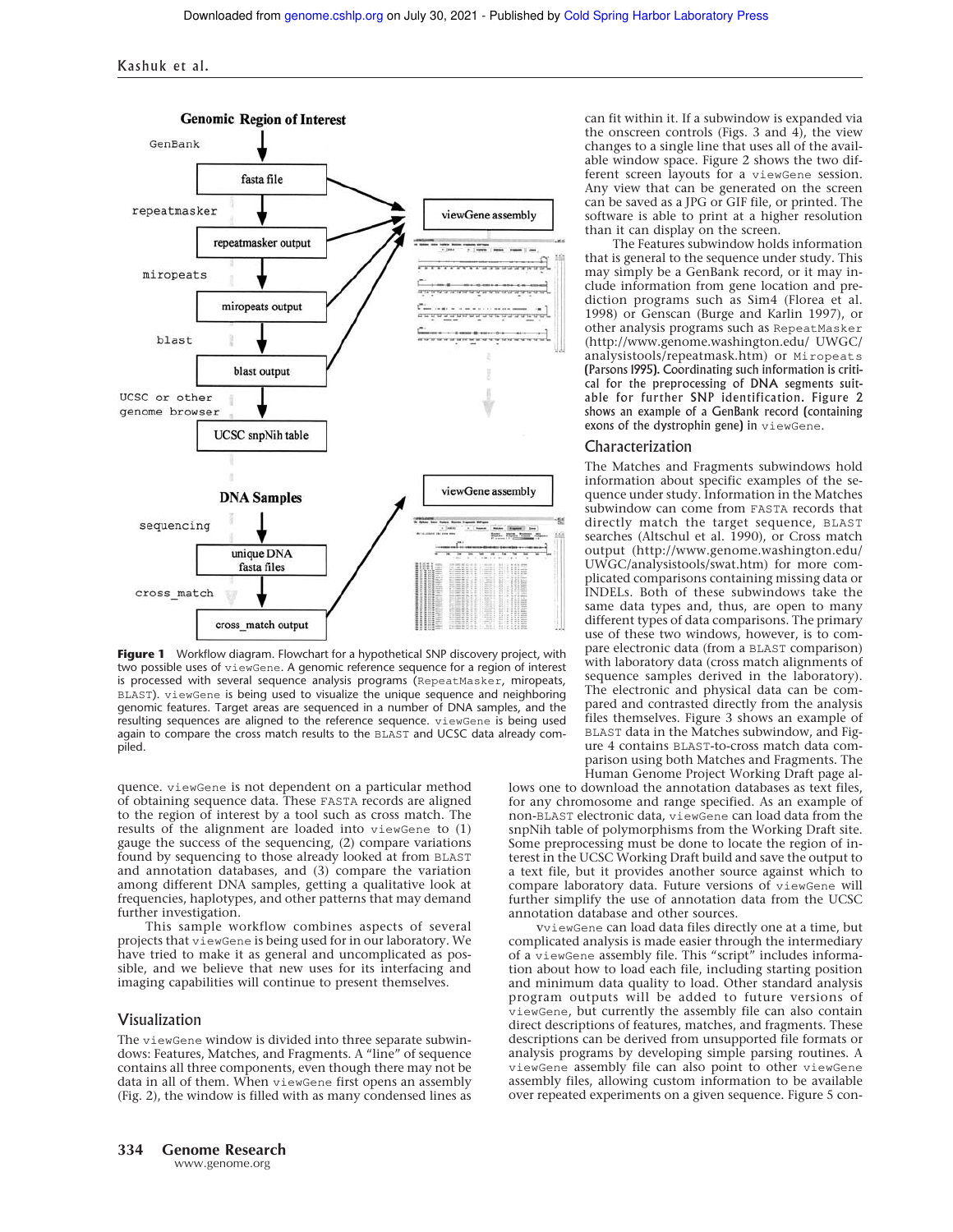

**Figure 1** Workflow diagram. Flowchart for a hypothetical SNP discovery project, with two possible uses of viewGene. A genomic reference sequence for a region of interest is processed with several sequence analysis programs (RepeatMasker, miropeats, BLAST). viewGene is being used to visualize the unique sequence and neighboring genomic features. Target areas are sequenced in a number of DNA samples, and the resulting sequences are aligned to the reference sequence. viewGene is being used again to compare the cross match results to the BLAST and UCSC data already compiled.

quence. viewGene is not dependent on a particular method of obtaining sequence data. These FASTA records are aligned to the region of interest by a tool such as cross match. The results of the alignment are loaded into viewGene to (1) gauge the success of the sequencing, (2) compare variations found by sequencing to those already looked at from BLAST and annotation databases, and (3) compare the variation among different DNA samples, getting a qualitative look at frequencies, haplotypes, and other patterns that may demand further investigation.

This sample workflow combines aspects of several projects that viewGene is being used for in our laboratory. We have tried to make it as general and uncomplicated as possible, and we believe that new uses for its interfacing and imaging capabilities will continue to present themselves.

#### Visualization

The viewGene window is divided into three separate subwindows: Features, Matches, and Fragments. A "line" of sequence contains all three components, even though there may not be data in all of them. When viewGene first opens an assembly (Fig. 2), the window is filled with as many condensed lines as can fit within it. If a subwindow is expanded via the onscreen controls (Figs. 3 and  $\overline{4}$ ), the view changes to a single line that uses all of the available window space. Figure 2 shows the two different screen layouts for a viewGene session. Any view that can be generated on the screen can be saved as a JPG or GIF file, or printed. The software is able to print at a higher resolution than it can display on the screen.

The Features subwindow holds information that is general to the sequence under study. This may simply be a GenBank record, or it may include information from gene location and prediction programs such as Sim4 (Florea et al. 1998) or Genscan (Burge and Karlin 1997), or other analysis programs such as RepeatMasker (http://www.genome.washington.edu/ UWGC/ analysistools/repeatmask.htm) or Miropeats (Parsons 1995). Coordinating such information is critical for the preprocessing of DNA segments suitable for further SNP identification. Figure 2 shows an example of a GenBank record (containing exons of the dystrophin gene) in viewGene.

#### Characterization

The Matches and Fragments subwindows hold information about specific examples of the sequence under study. Information in the Matches subwindow can come from FASTA records that directly match the target sequence, BLAST searches (Altschul et al. 1990), or Cross match output (http://www.genome.washington.edu/ UWGC/analysistools/swat.htm) for more complicated comparisons containing missing data or INDELs. Both of these subwindows take the same data types and, thus, are open to many different types of data comparisons. The primary use of these two windows, however, is to compare electronic data (from a BLAST comparison) with laboratory data (cross match alignments of sequence samples derived in the laboratory). The electronic and physical data can be compared and contrasted directly from the analysis files themselves. Figure 3 shows an example of BLAST data in the Matches subwindow, and Figure 4 contains BLAST-to-cross match data comparison using both Matches and Fragments. The Human Genome Project Working Draft page al-

lows one to download the annotation databases as text files, for any chromosome and range specified. As an example of non-BLAST electronic data, viewGene can load data from the snpNih table of polymorphisms from the Working Draft site. Some preprocessing must be done to locate the region of interest in the UCSC Working Draft build and save the output to a text file, but it provides another source against which to compare laboratory data. Future versions of viewGene will further simplify the use of annotation data from the UCSC annotation database and other sources.

vviewGene can load data files directly one at a time, but complicated analysis is made easier through the intermediary of a viewGene assembly file. This "script" includes information about how to load each file, including starting position and minimum data quality to load. Other standard analysis program outputs will be added to future versions of viewGene, but currently the assembly file can also contain direct descriptions of features, matches, and fragments. These descriptions can be derived from unsupported file formats or analysis programs by developing simple parsing routines. A viewGene assembly file can also point to other viewGene assembly files, allowing custom information to be available over repeated experiments on a given sequence. Figure 5 con-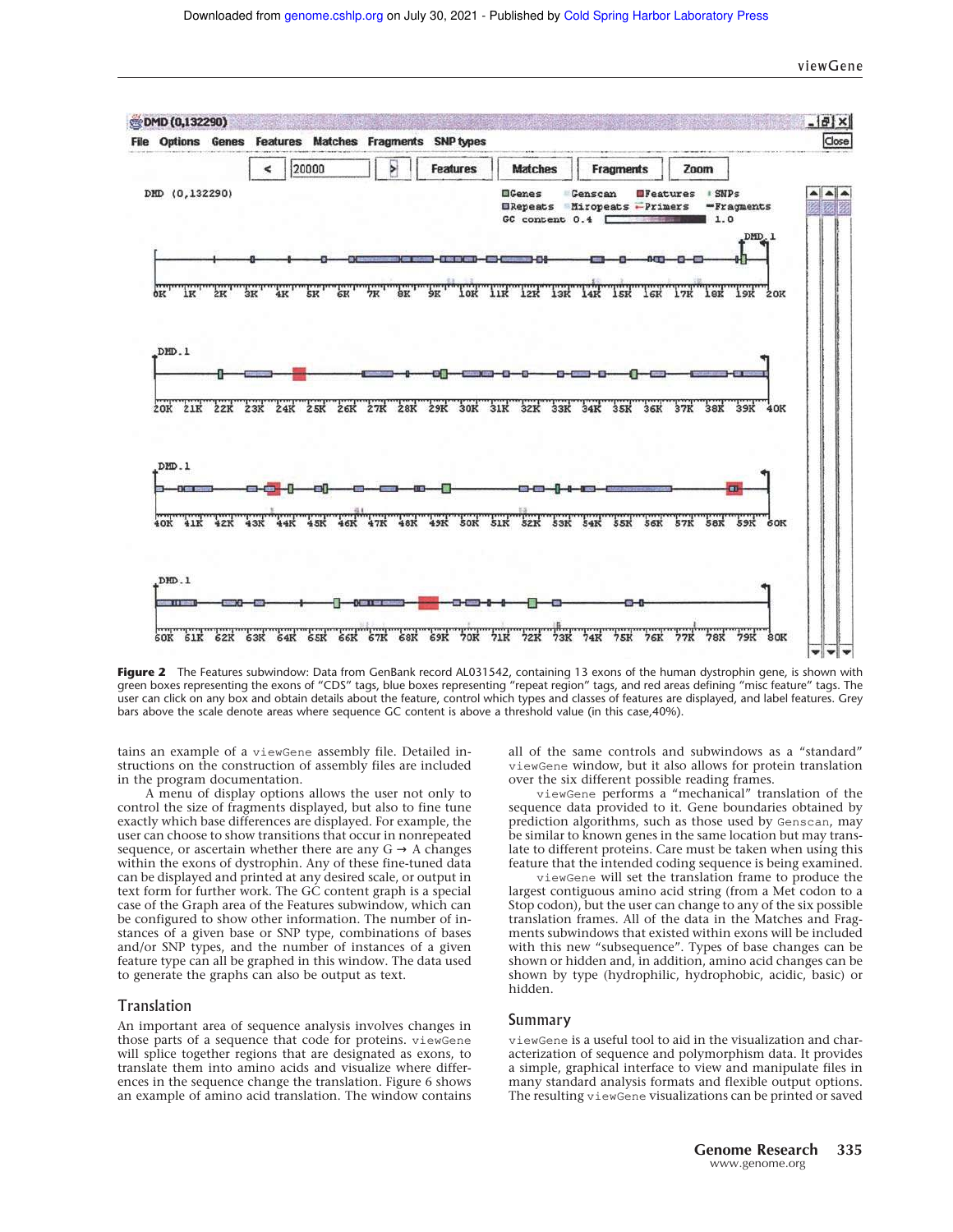viewGene



Figure 2 The Features subwindow: Data from GenBank record AL031542, containing 13 exons of the human dystrophin gene, is shown with green boxes representing the exons of "CDS" tags, blue boxes representing "repeat region" tags, and red areas defining "misc feature" tags. The user can click on any box and obtain details about the feature, control which types and classes of features are displayed, and label features. Grey bars above the scale denote areas where sequence GC content is above a threshold value (in this case,40%).

tains an example of a viewGene assembly file. Detailed instructions on the construction of assembly files are included in the program documentation.

A menu of display options allows the user not only to control the size of fragments displayed, but also to fine tune exactly which base differences are displayed. For example, the user can choose to show transitions that occur in nonrepeated sequence, or ascertain whether there are any  $G \rightarrow A$  changes within the exons of dystrophin. Any of these fine-tuned data can be displayed and printed at any desired scale, or output in text form for further work. The GC content graph is a special case of the Graph area of the Features subwindow, which can be configured to show other information. The number of instances of a given base or SNP type, combinations of bases and/or SNP types, and the number of instances of a given feature type can all be graphed in this window. The data used to generate the graphs can also be output as text.

#### Translation

An important area of sequence analysis involves changes in those parts of a sequence that code for proteins. viewGene will splice together regions that are designated as exons, to translate them into amino acids and visualize where differences in the sequence change the translation. Figure 6 shows an example of amino acid translation. The window contains all of the same controls and subwindows as a "standard" viewGene window, but it also allows for protein translation over the six different possible reading frames.

viewGene performs a "mechanical" translation of the sequence data provided to it. Gene boundaries obtained by prediction algorithms, such as those used by Genscan, may be similar to known genes in the same location but may translate to different proteins. Care must be taken when using this feature that the intended coding sequence is being examined.

viewGene will set the translation frame to produce the largest contiguous amino acid string (from a Met codon to a Stop codon), but the user can change to any of the six possible translation frames. All of the data in the Matches and Fragments subwindows that existed within exons will be included with this new "subsequence". Types of base changes can be shown or hidden and, in addition, amino acid changes can be shown by type (hydrophilic, hydrophobic, acidic, basic) or hidden.

#### Summary

viewGene is a useful tool to aid in the visualization and characterization of sequence and polymorphism data. It provides a simple, graphical interface to view and manipulate files in many standard analysis formats and flexible output options. The resulting viewGene visualizations can be printed or saved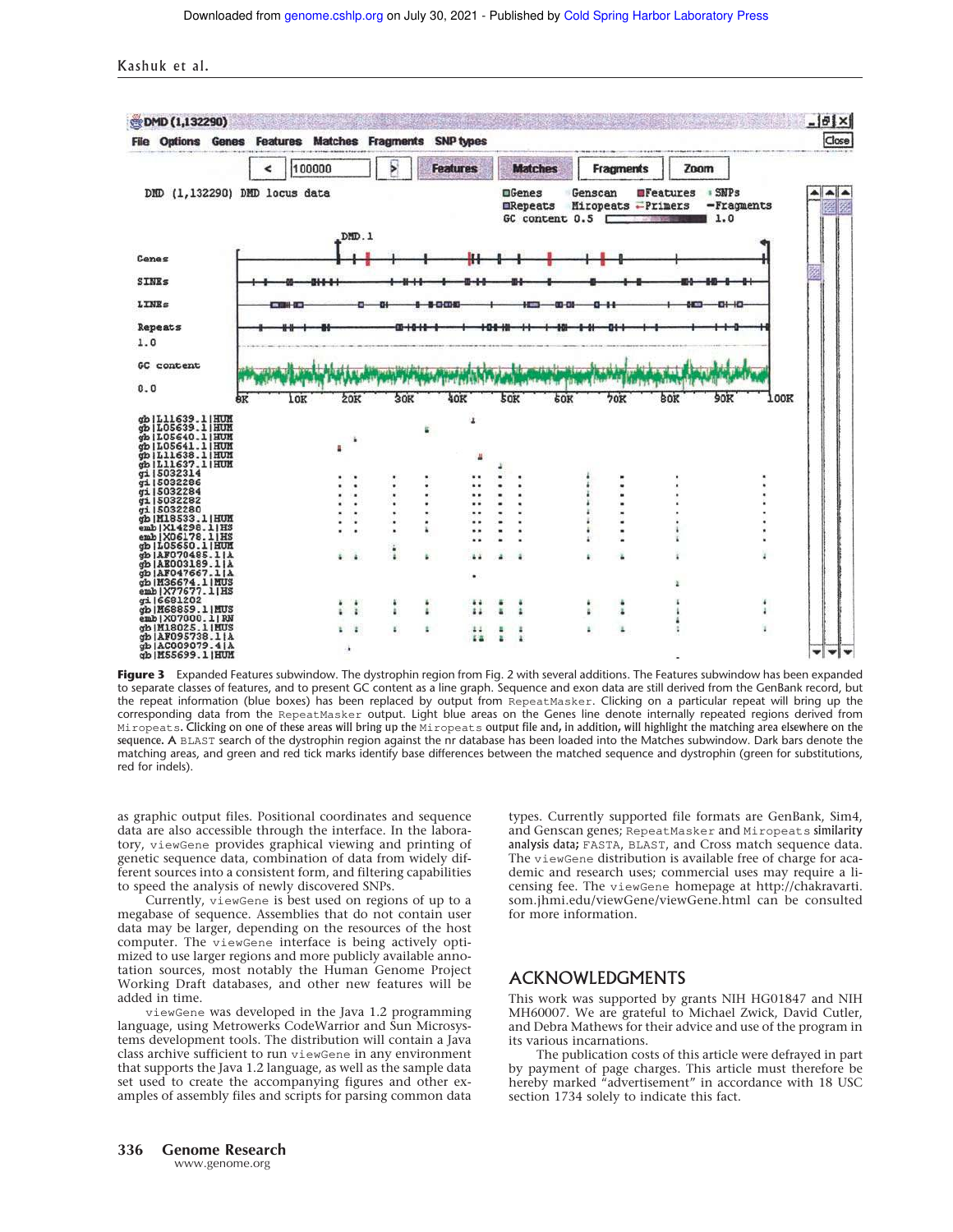Kashuk et al.



Figure 3 Expanded Features subwindow. The dystrophin region from Fig. 2 with several additions. The Features subwindow has been expanded to separate classes of features, and to present GC content as a line graph. Sequence and exon data are still derived from the GenBank record, but the repeat information (blue boxes) has been replaced by output from RepeatMasker. Clicking on a particular repeat will bring up the corresponding data from the RepeatMasker output. Light blue areas on the Genes line denote internally repeated regions derived from Miropeats. Clicking on one of these areas will bring up the Miropeats output file and, in addition, will highlight the matching area elsewhere on the sequence. A BLAST search of the dystrophin region against the nr database has been loaded into the Matches subwindow. Dark bars denote the matching areas, and green and red tick marks identify base differences between the matched sequence and dystrophin (green for substitutions, red for indels).

as graphic output files. Positional coordinates and sequence data are also accessible through the interface. In the laboratory, viewGene provides graphical viewing and printing of genetic sequence data, combination of data from widely different sources into a consistent form, and filtering capabilities to speed the analysis of newly discovered SNPs.

Currently, viewGene is best used on regions of up to a megabase of sequence. Assemblies that do not contain user data may be larger, depending on the resources of the host computer. The viewGene interface is being actively optimized to use larger regions and more publicly available annotation sources, most notably the Human Genome Project Working Draft databases, and other new features will be added in time.

viewGene was developed in the Java 1.2 programming language, using Metrowerks CodeWarrior and Sun Microsystems development tools. The distribution will contain a Java class archive sufficient to run viewGene in any environment that supports the Java 1.2 language, as well as the sample data set used to create the accompanying figures and other examples of assembly files and scripts for parsing common data types. Currently supported file formats are GenBank, Sim4, and Genscan genes; RepeatMasker and Miropeats similarity analysis data; FASTA, BLAST, and Cross match sequence data. The viewGene distribution is available free of charge for academic and research uses; commercial uses may require a licensing fee. The viewGene homepage at http://chakravarti. som.jhmi.edu/viewGene/viewGene.html can be consulted for more information.

## ACKNOWLEDGMENTS

This work was supported by grants NIH HG01847 and NIH MH60007. We are grateful to Michael Zwick, David Cutler, and Debra Mathews for their advice and use of the program in its various incarnations.

The publication costs of this article were defrayed in part by payment of page charges. This article must therefore be hereby marked "advertisement" in accordance with 18 USC section 1734 solely to indicate this fact.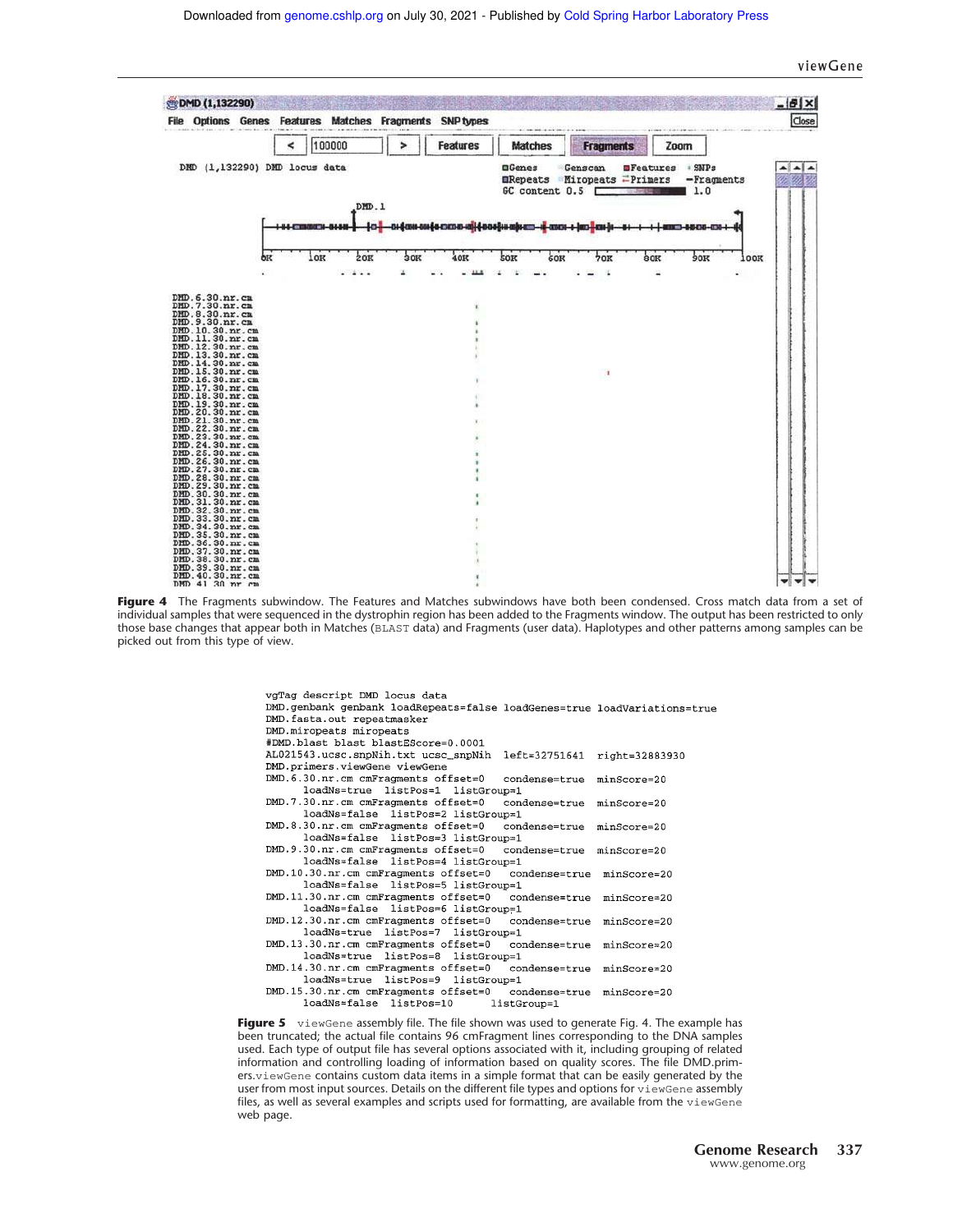#### viewGene



**Figure 4** The Fragments subwindow. The Features and Matches subwindows have both been condensed. Cross match data from a set of individual samples that were sequenced in the dystrophin region has been added to the Fragments window. The output has been restricted to only those base changes that appear both in Matches (BLAST data) and Fragments (user data). Haplotypes and other patterns among samples can be picked out from this type of view.

> vgTag descript DMD locus data DMD.genbank genbank loadRepeats=false loadGenes=true loadVariations=true DMD.fasta.out repeatmasker DMD.miropeats miropeats #DMD.blast blast blastEScore=0.0001 AL021543.ucsc.snpNih.txt ucsc\_snpNih left=32751641 right=32883930 DMD.primers.viewGene viewGene DMD. 6.30.nr.cm cmFragments offset=0  $\verb|condense=true|$  $minScore=20$ loadNs=true listPos=1 listGroup=1 DMD.7.30.nr.cm cmFragments offset=0  $condense = true$ minScore=20 loadNs=false listPos=2 listGroup=1 DMD.8.30.nr.cm cmFragments offset=0 condense=true minScore=20 loadNs=false listPos=3 listGroup=1 DMD. 9.30.nr.cm cmFragments offset=0 condense=true minScore=20 loadNs=false listPos=4 listGroup=1 DMD.10.30.nr.cm cmFragments offset=0  $condense = true$ minScore=20 loadNs=false listPos=5 listGroup=1 DMD.11.30.nr.cm cmFragments offset=0 condense=true minScore=20 loadNs=false listPos=6 listGroup=1 DMD.12.30.nr.cm cmFragments offset=0 condense=true minScore=20 loadNs=true listPos=7 listGroup=1 DMD.13.30.nr.cm cmFragments offset=0 condense=true minScore=20 loadNs=true listPos=8 listGroup=1 DMD.14.30.nr.cm cmFragments offset=0 condense=true minScore=20 loadNs=true listPos=9 listGroup=1 DMD.15.30.nr.cm cmFragments offset=0 condense=true minScore=20 listGroup=1 loadNs=false listPos=10

**Figure 5** viewGene assembly file. The file shown was used to generate Fig. 4. The example has been truncated; the actual file contains 96 cmFragment lines corresponding to the DNA samples used. Each type of output file has several options associated with it, including grouping of related information and controlling loading of information based on quality scores. The file DMD.primers.viewGene contains custom data items in a simple format that can be easily generated by the user from most input sources. Details on the different file types and options for viewGene assembly files, as well as several examples and scripts used for formatting, are available from the viewGene web page.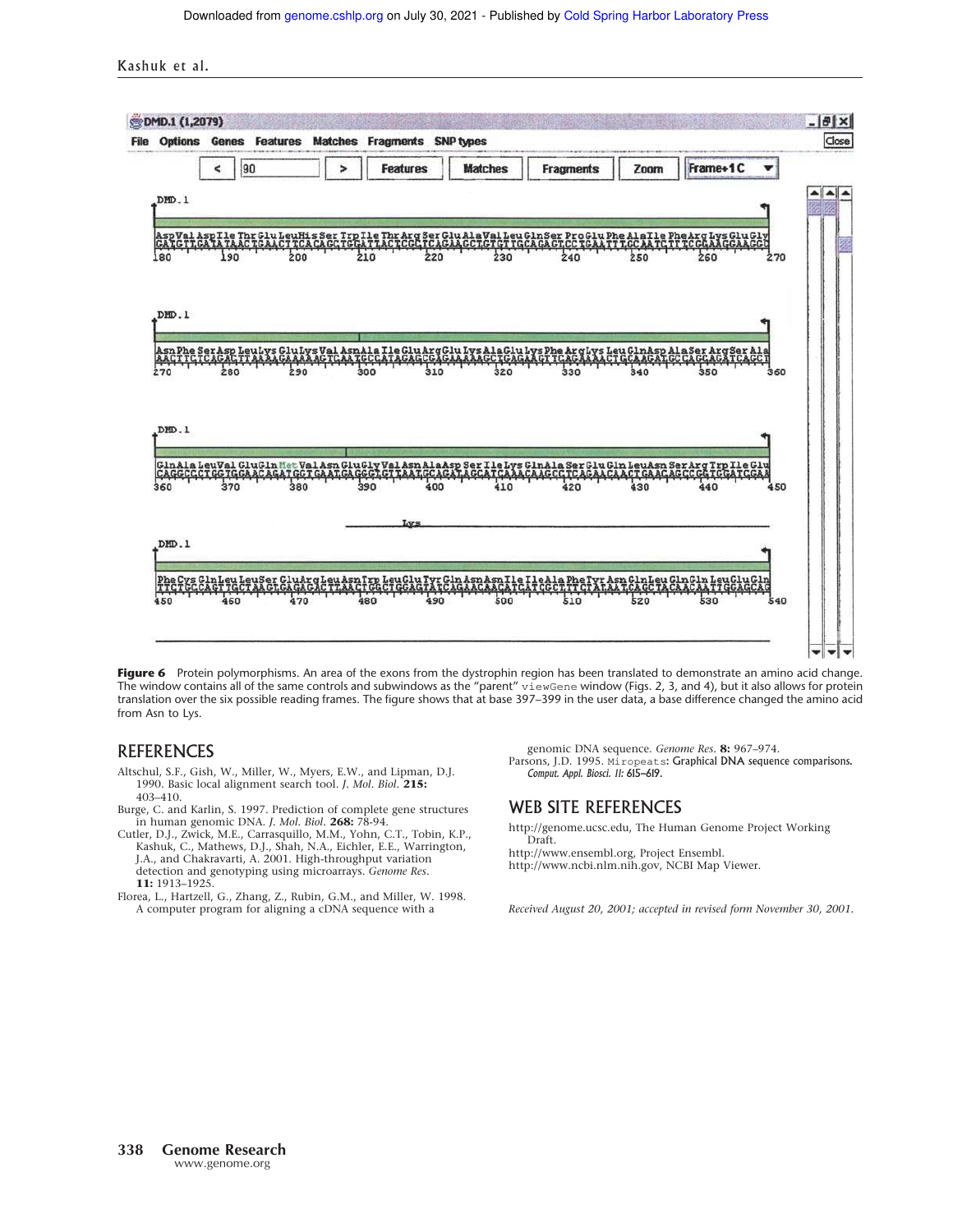Kashuk et al.



Figure 6 Protein polymorphisms. An area of the exons from the dystrophin region has been translated to demonstrate an amino acid change. The window contains all of the same controls and subwindows as the "parent" viewGene window (Figs. 2, 3, and 4), but it also allows for protein translation over the six possible reading frames. The figure shows that at base 397–399 in the user data, a base difference changed the amino acid from Asn to Lys.

### REFERENCES

- Altschul, S.F., Gish, W., Miller, W., Myers, E.W., and Lipman, D.J. 1990. Basic local alignment search tool. *J. Mol. Biol.* **215:** 403–410.
- Burge, C. and Karlin, S. 1997. Prediction of complete gene structures in human genomic DNA. *J. Mol. Biol.* **268:** 78-94.
- Cutler, D.J., Zwick, M.E., Carrasquillo, M.M., Yohn, C.T., Tobin, K.P., Kashuk, C., Mathews, D.J., Shah, N.A., Eichler, E.E., Warrington, J.A., and Chakravarti, A. 2001. High-throughput variation detection and genotyping using microarrays. *Genome Res.* **11:** 1913–1925.
- Florea, L., Hartzell, G., Zhang, Z., Rubin, G.M., and Miller, W. 1998. A computer program for aligning a cDNA sequence with a

genomic DNA sequence. *Genome Res.* **8:** 967–974. Parsons, J.D. 1995. Miropeats: Graphical DNA sequence comparisons. *Comput. Appl. Biosci. 11:* 615–619.

# WEB SITE REFERENCES

http://genome.ucsc.edu, The Human Genome Project Working Draft.

http://www.ensembl.org, Project Ensembl. http://www.ncbi.nlm.nih.gov, NCBI Map Viewer.

*Received August 20, 2001; accepted in revised form November 30, 2001.*